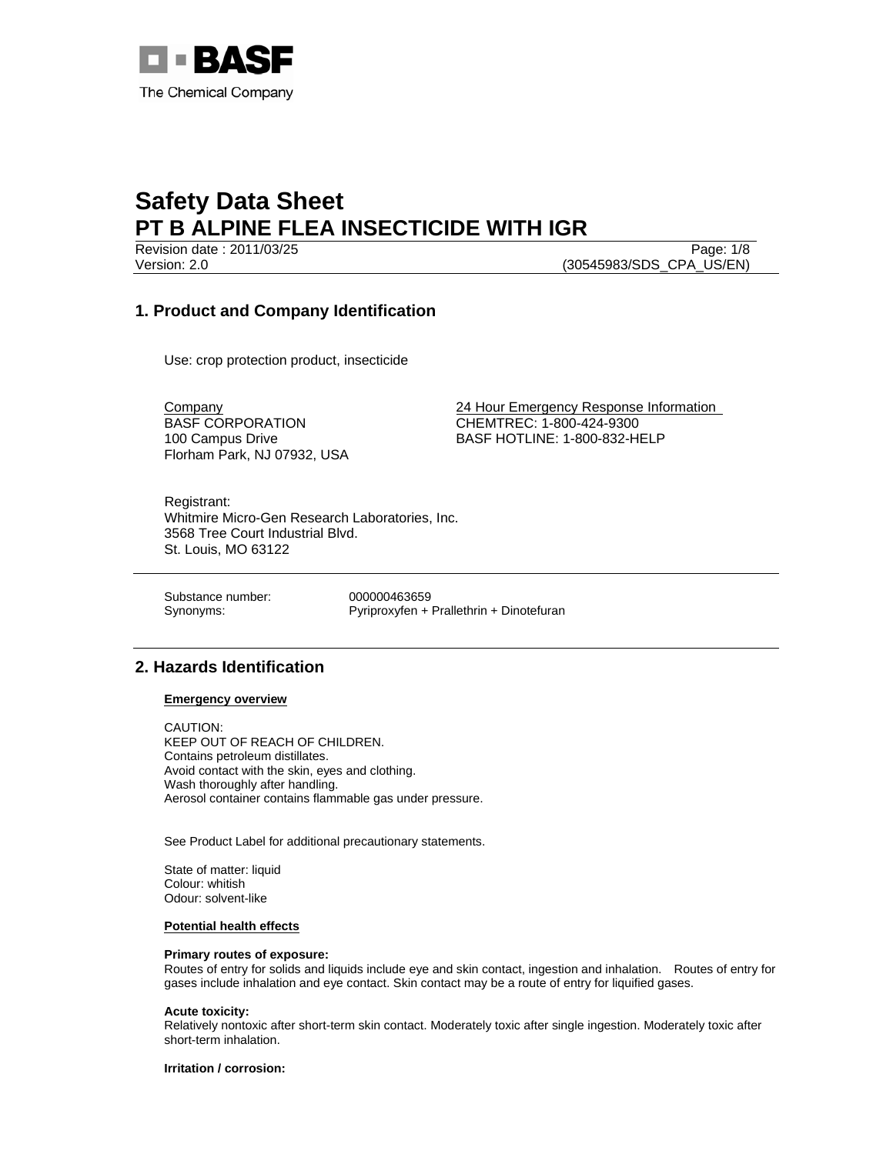

Revision date : 2011/03/25 Page: 1/8 Version: 2.0 (30545983/SDS\_CPA\_US/EN)

# **1. Product and Company Identification**

Use: crop protection product, insecticide

BASF CORPORATION 100 Campus Drive Florham Park, NJ 07932, USA

Company 24 Hour Emergency Response Information CHEMTREC: 1-800-424-9300 BASF HOTLINE: 1-800-832-HELP

Registrant: Whitmire Micro-Gen Research Laboratories, Inc. 3568 Tree Court Industrial Blvd. St. Louis, MO 63122

Substance number: 000000463659

Synonyms: Pyriproxyfen + Prallethrin + Dinotefuran

# **2. Hazards Identification**

## **Emergency overview**

CAUTION: KEEP OUT OF REACH OF CHILDREN. Contains petroleum distillates. Avoid contact with the skin, eyes and clothing. Wash thoroughly after handling. Aerosol container contains flammable gas under pressure.

See Product Label for additional precautionary statements.

State of matter: liquid Colour: whitish Odour: solvent-like

## **Potential health effects**

## **Primary routes of exposure:**

Routes of entry for solids and liquids include eye and skin contact, ingestion and inhalation. Routes of entry for gases include inhalation and eye contact. Skin contact may be a route of entry for liquified gases.

#### **Acute toxicity:**

Relatively nontoxic after short-term skin contact. Moderately toxic after single ingestion. Moderately toxic after short-term inhalation.

**Irritation / corrosion:**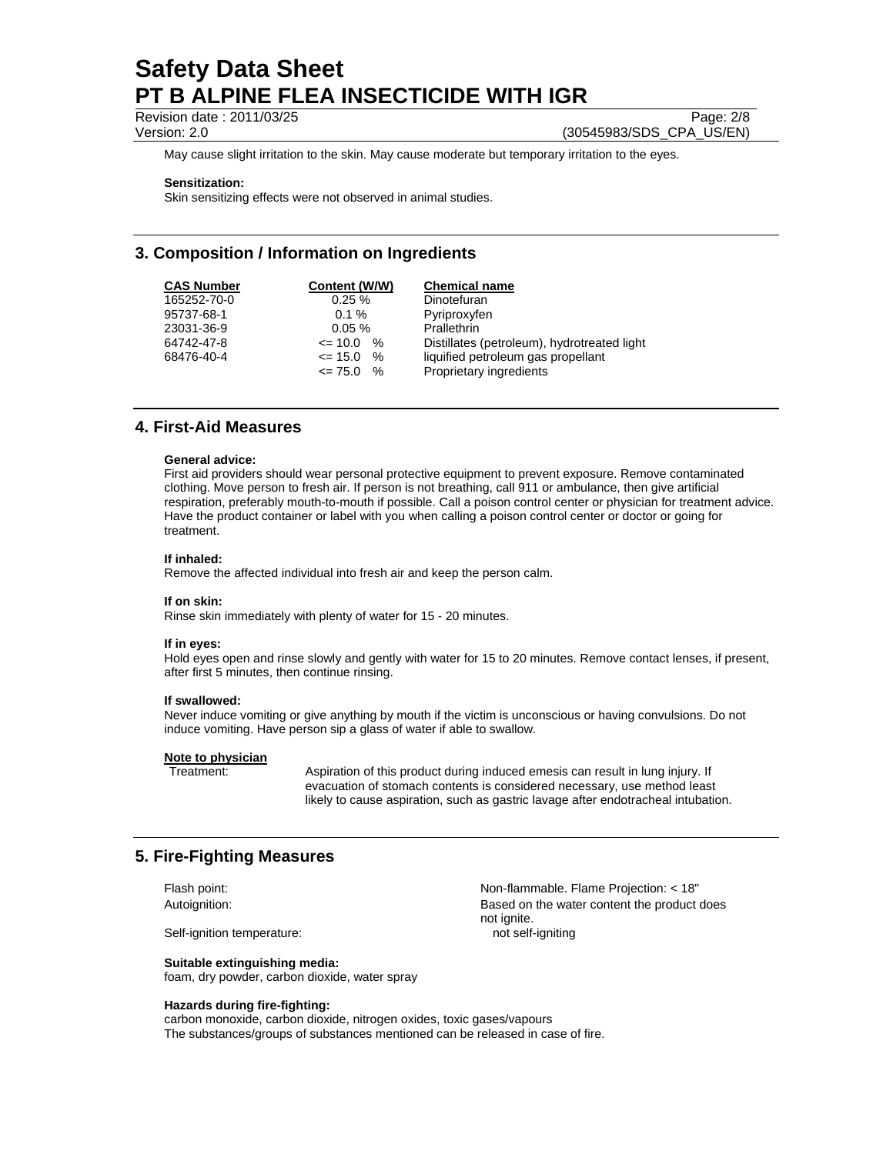Revision date : 2011/03/25 Page: 2/8

Version: 2.0 (30545983/SDS\_CPA\_US/EN)

May cause slight irritation to the skin. May cause moderate but temporary irritation to the eyes.

#### **Sensitization:**

Skin sensitizing effects were not observed in animal studies.

# **3. Composition / Information on Ingredients**

| <b>CAS Number</b> | Content (W/W)   | <b>Chemical name</b>                        |
|-------------------|-----------------|---------------------------------------------|
| 165252-70-0       | 0.25%           | Dinotefuran                                 |
| 95737-68-1        | $0.1 \%$        | Pyriproxyfen                                |
| 23031-36-9        | $0.05 \%$       | Prallethrin                                 |
| 64742-47-8        | $\leq$ 10.0 %   | Distillates (petroleum), hydrotreated light |
| 68476-40-4        | $\%$<br><= 15.0 | liquified petroleum gas propellant          |
|                   | $\leq$ 75.0 %   | Proprietary ingredients                     |

# **4. First-Aid Measures**

#### **General advice:**

First aid providers should wear personal protective equipment to prevent exposure. Remove contaminated clothing. Move person to fresh air. If person is not breathing, call 911 or ambulance, then give artificial respiration, preferably mouth-to-mouth if possible. Call a poison control center or physician for treatment advice. Have the product container or label with you when calling a poison control center or doctor or going for treatment.

#### **If inhaled:**

Remove the affected individual into fresh air and keep the person calm.

#### **If on skin:**

Rinse skin immediately with plenty of water for 15 - 20 minutes.

#### **If in eyes:**

Hold eyes open and rinse slowly and gently with water for 15 to 20 minutes. Remove contact lenses, if present, after first 5 minutes, then continue rinsing.

#### **If swallowed:**

Never induce vomiting or give anything by mouth if the victim is unconscious or having convulsions. Do not induce vomiting. Have person sip a glass of water if able to swallow.

#### **Note to physician**

Treatment: Aspiration of this product during induced emesis can result in lung injury. If evacuation of stomach contents is considered necessary, use method least likely to cause aspiration, such as gastric lavage after endotracheal intubation.

# **5. Fire-Fighting Measures**

Self-ignition temperature: not self-igniting

**Suitable extinguishing media:**  foam, dry powder, carbon dioxide, water spray

#### **Hazards during fire-fighting:**

Flash point: Non-flammable. Flame Projection: < 18" Autoignition: Based on the water content the product does not ignite.

carbon monoxide, carbon dioxide, nitrogen oxides, toxic gases/vapours The substances/groups of substances mentioned can be released in case of fire.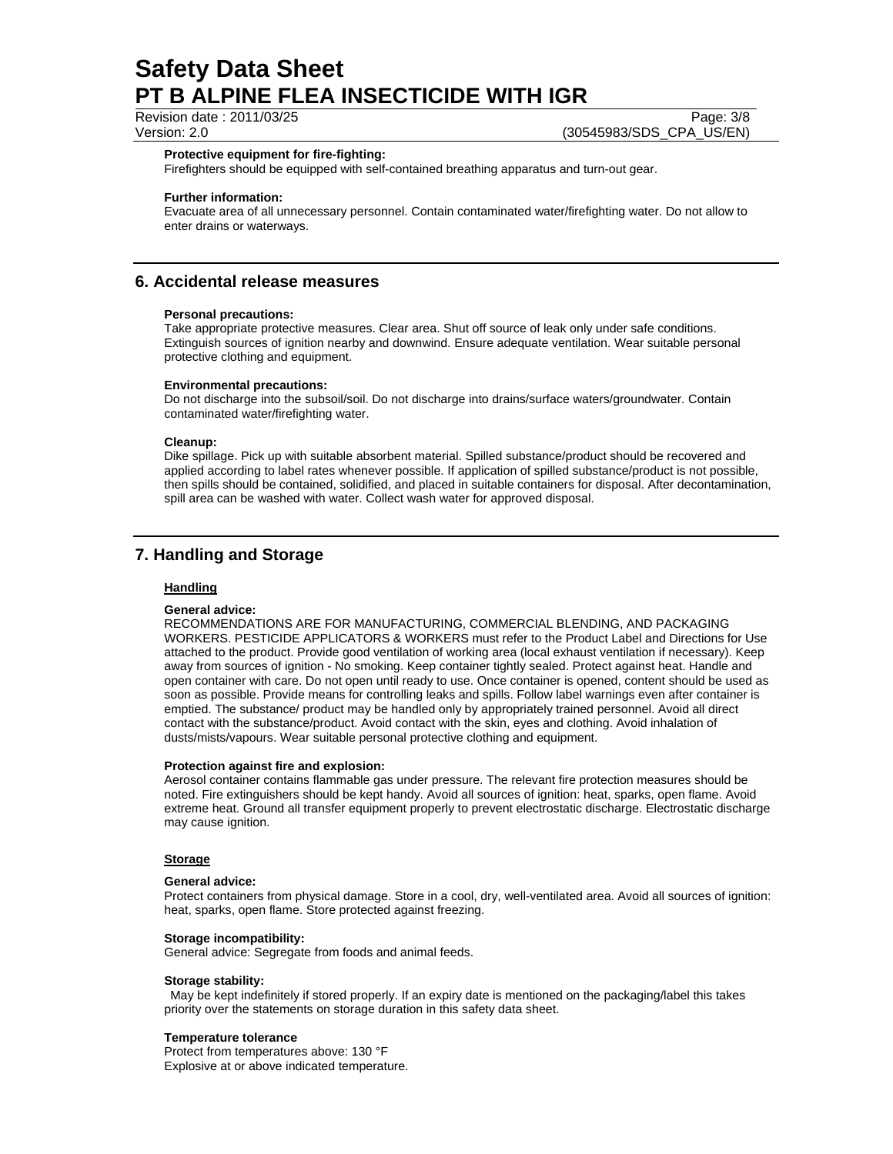Revision date : 2011/03/25 Page: 3/8

Version: 2.0 (30545983/SDS\_CPA\_US/EN)

#### **Protective equipment for fire-fighting:**

Firefighters should be equipped with self-contained breathing apparatus and turn-out gear.

### **Further information:**

Evacuate area of all unnecessary personnel. Contain contaminated water/firefighting water. Do not allow to enter drains or waterways.

# **6. Accidental release measures**

### **Personal precautions:**

Take appropriate protective measures. Clear area. Shut off source of leak only under safe conditions. Extinguish sources of ignition nearby and downwind. Ensure adequate ventilation. Wear suitable personal protective clothing and equipment.

### **Environmental precautions:**

Do not discharge into the subsoil/soil. Do not discharge into drains/surface waters/groundwater. Contain contaminated water/firefighting water.

## **Cleanup:**

Dike spillage. Pick up with suitable absorbent material. Spilled substance/product should be recovered and applied according to label rates whenever possible. If application of spilled substance/product is not possible, then spills should be contained, solidified, and placed in suitable containers for disposal. After decontamination, spill area can be washed with water. Collect wash water for approved disposal.

# **7. Handling and Storage**

## **Handling**

#### **General advice:**

RECOMMENDATIONS ARE FOR MANUFACTURING, COMMERCIAL BLENDING, AND PACKAGING WORKERS. PESTICIDE APPLICATORS & WORKERS must refer to the Product Label and Directions for Use attached to the product. Provide good ventilation of working area (local exhaust ventilation if necessary). Keep away from sources of ignition - No smoking. Keep container tightly sealed. Protect against heat. Handle and open container with care. Do not open until ready to use. Once container is opened, content should be used as soon as possible. Provide means for controlling leaks and spills. Follow label warnings even after container is emptied. The substance/ product may be handled only by appropriately trained personnel. Avoid all direct contact with the substance/product. Avoid contact with the skin, eyes and clothing. Avoid inhalation of dusts/mists/vapours. Wear suitable personal protective clothing and equipment.

### **Protection against fire and explosion:**

Aerosol container contains flammable gas under pressure. The relevant fire protection measures should be noted. Fire extinguishers should be kept handy. Avoid all sources of ignition: heat, sparks, open flame. Avoid extreme heat. Ground all transfer equipment properly to prevent electrostatic discharge. Electrostatic discharge may cause ignition.

#### **Storage**

#### **General advice:**

Protect containers from physical damage. Store in a cool, dry, well-ventilated area. Avoid all sources of ignition: heat, sparks, open flame. Store protected against freezing.

#### **Storage incompatibility:**

General advice: Segregate from foods and animal feeds.

#### **Storage stability:**

 May be kept indefinitely if stored properly. If an expiry date is mentioned on the packaging/label this takes priority over the statements on storage duration in this safety data sheet.

#### **Temperature tolerance**

Protect from temperatures above: 130 °F Explosive at or above indicated temperature.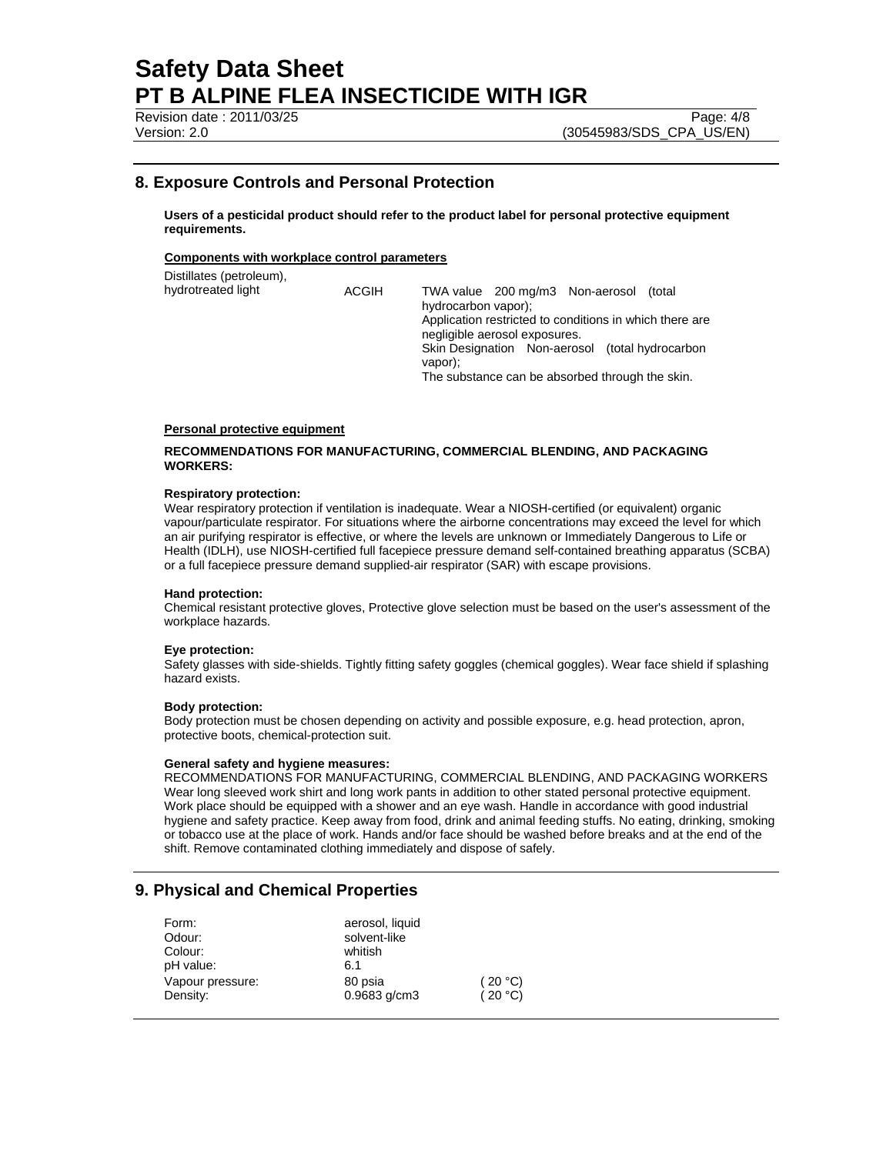Revision date : 2011/03/25 Page: 4/8

# **8. Exposure Controls and Personal Protection**

**Users of a pesticidal product should refer to the product label for personal protective equipment requirements.** 

## **Components with workplace control parameters**

Distillates (petroleum), hydrotreated light ACGIH TWA value 200 mg/m3 Non-aerosol (total hydrocarbon vapor); Application restricted to conditions in which there are negligible aerosol exposures. Skin Designation Non-aerosol (total hydrocarbon vapor); The substance can be absorbed through the skin.

## **Personal protective equipment**

### **RECOMMENDATIONS FOR MANUFACTURING, COMMERCIAL BLENDING, AND PACKAGING WORKERS:**

#### **Respiratory protection:**

Wear respiratory protection if ventilation is inadequate. Wear a NIOSH-certified (or equivalent) organic vapour/particulate respirator. For situations where the airborne concentrations may exceed the level for which an air purifying respirator is effective, or where the levels are unknown or Immediately Dangerous to Life or Health (IDLH), use NIOSH-certified full facepiece pressure demand self-contained breathing apparatus (SCBA) or a full facepiece pressure demand supplied-air respirator (SAR) with escape provisions.

#### **Hand protection:**

Chemical resistant protective gloves, Protective glove selection must be based on the user's assessment of the workplace hazards.

#### **Eye protection:**

Safety glasses with side-shields. Tightly fitting safety goggles (chemical goggles). Wear face shield if splashing hazard exists.

#### **Body protection:**

Body protection must be chosen depending on activity and possible exposure, e.g. head protection, apron, protective boots, chemical-protection suit.

#### **General safety and hygiene measures:**

RECOMMENDATIONS FOR MANUFACTURING, COMMERCIAL BLENDING, AND PACKAGING WORKERS Wear long sleeved work shirt and long work pants in addition to other stated personal protective equipment. Work place should be equipped with a shower and an eye wash. Handle in accordance with good industrial hygiene and safety practice. Keep away from food, drink and animal feeding stuffs. No eating, drinking, smoking or tobacco use at the place of work. Hands and/or face should be washed before breaks and at the end of the shift. Remove contaminated clothing immediately and dispose of safely.

# **9. Physical and Chemical Properties**

| Form:            | aerosol, liquid |         |
|------------------|-----------------|---------|
| Odour:           | solvent-like    |         |
| Colour:          | whitish         |         |
| pH value:        | 6.1             |         |
| Vapour pressure: | 80 psia         | (20 °C) |
| Density:         | $0.9683$ g/cm3  | (20 °C) |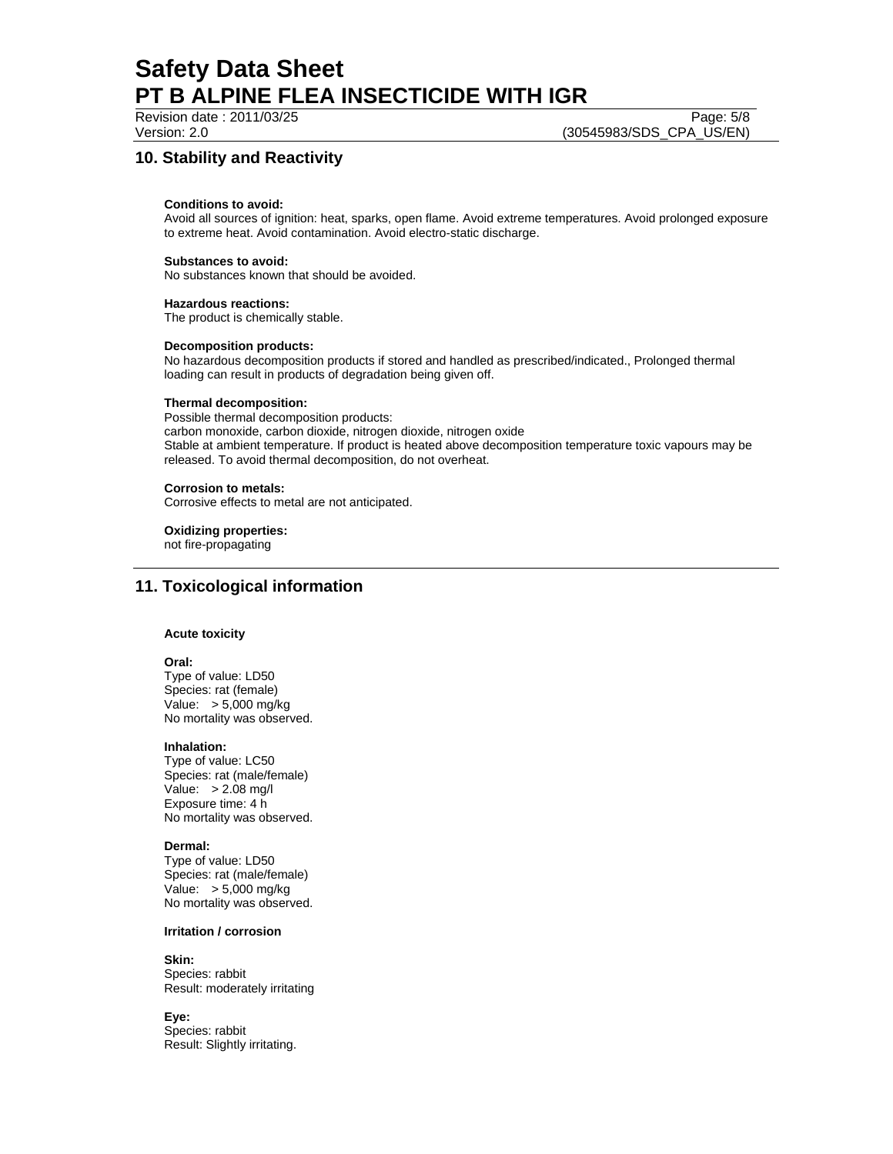Revision date : 2011/03/25 Page: 5/8

Version: 2.0 (30545983/SDS\_CPA\_US/EN)

# **10. Stability and Reactivity**

## **Conditions to avoid:**

Avoid all sources of ignition: heat, sparks, open flame. Avoid extreme temperatures. Avoid prolonged exposure to extreme heat. Avoid contamination. Avoid electro-static discharge.

## **Substances to avoid:**

No substances known that should be avoided.

## **Hazardous reactions:**

The product is chemically stable.

## **Decomposition products:**

No hazardous decomposition products if stored and handled as prescribed/indicated., Prolonged thermal loading can result in products of degradation being given off.

## **Thermal decomposition:**

Possible thermal decomposition products: carbon monoxide, carbon dioxide, nitrogen dioxide, nitrogen oxide Stable at ambient temperature. If product is heated above decomposition temperature toxic vapours may be released. To avoid thermal decomposition, do not overheat.

## **Corrosion to metals:**

Corrosive effects to metal are not anticipated.

**Oxidizing properties:** 

not fire-propagating

# **11. Toxicological information**

## **Acute toxicity**

#### **Oral:**

Type of value: LD50 Species: rat (female) Value: > 5,000 mg/kg No mortality was observed.

## **Inhalation:**

Type of value: LC50 Species: rat (male/female) Value: > 2.08 mg/l Exposure time: 4 h No mortality was observed.

## **Dermal:**

Type of value: LD50 Species: rat (male/female) Value: > 5,000 mg/kg No mortality was observed.

## **Irritation / corrosion**

# **Skin:**

Species: rabbit Result: moderately irritating

**Eye:**

Species: rabbit Result: Slightly irritating.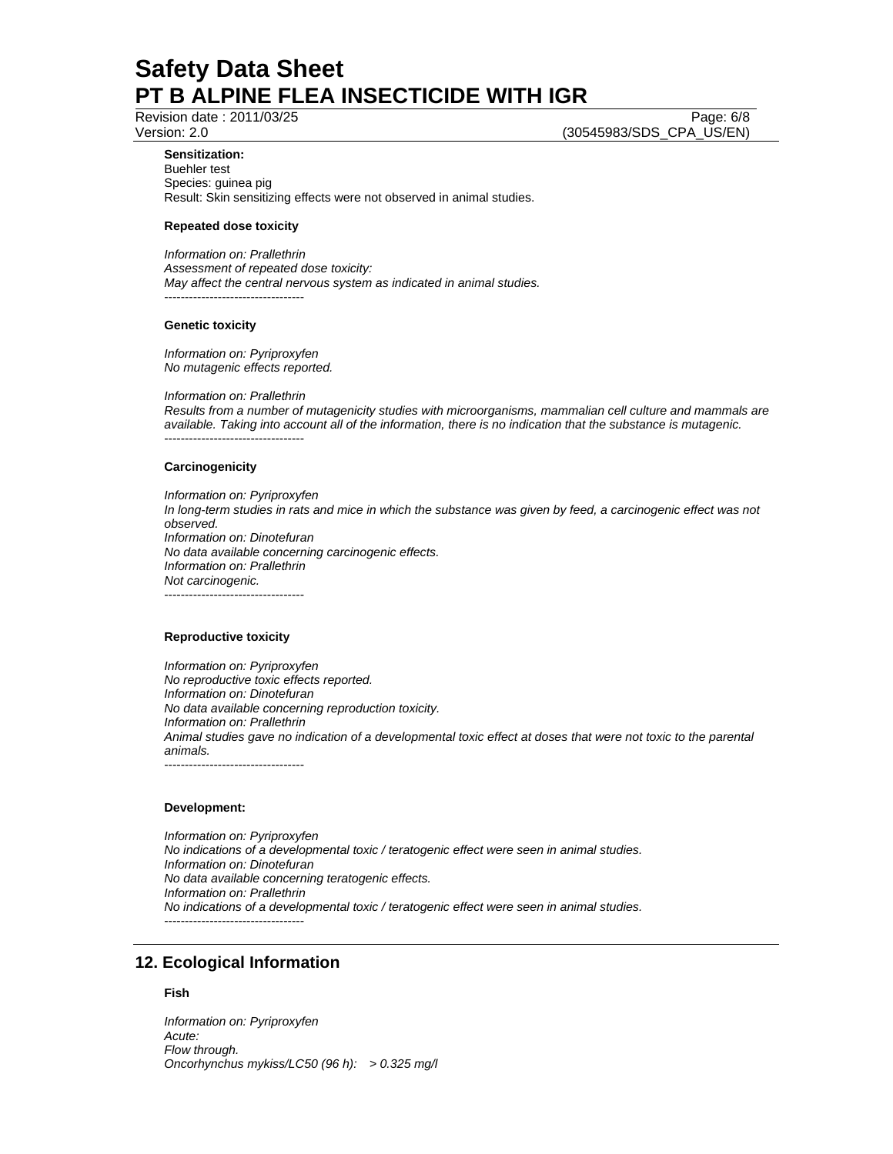Revision date : 2011/03/25 Page: 6/8

Version: 2.0 (30545983/SDS\_CPA\_US/EN)

### **Sensitization:**

Buehler test Species: guinea pig Result: Skin sensitizing effects were not observed in animal studies.

## **Repeated dose toxicity**

*Information on: Prallethrin Assessment of repeated dose toxicity: May affect the central nervous system as indicated in animal studies.*  ----------------------------------

### **Genetic toxicity**

*Information on: Pyriproxyfen No mutagenic effects reported.* 

*Information on: Prallethrin* 

*Results from a number of mutagenicity studies with microorganisms, mammalian cell culture and mammals are available. Taking into account all of the information, there is no indication that the substance is mutagenic.*  ----------------------------------

### **Carcinogenicity**

*Information on: Pyriproxyfen In long-term studies in rats and mice in which the substance was given by feed, a carcinogenic effect was not observed. Information on: Dinotefuran No data available concerning carcinogenic effects. Information on: Prallethrin Not carcinogenic.*  ----------------------------------

## **Reproductive toxicity**

*Information on: Pyriproxyfen No reproductive toxic effects reported. Information on: Dinotefuran No data available concerning reproduction toxicity. Information on: Prallethrin Animal studies gave no indication of a developmental toxic effect at doses that were not toxic to the parental animals.*  ----------------------------------

#### **Development:**

*Information on: Pyriproxyfen No indications of a developmental toxic / teratogenic effect were seen in animal studies. Information on: Dinotefuran No data available concerning teratogenic effects. Information on: Prallethrin No indications of a developmental toxic / teratogenic effect were seen in animal studies.*  ----------------------------------

# **12. Ecological Information**

# **Fish**

*Information on: Pyriproxyfen Acute: Flow through. Oncorhynchus mykiss/LC50 (96 h): > 0.325 mg/l*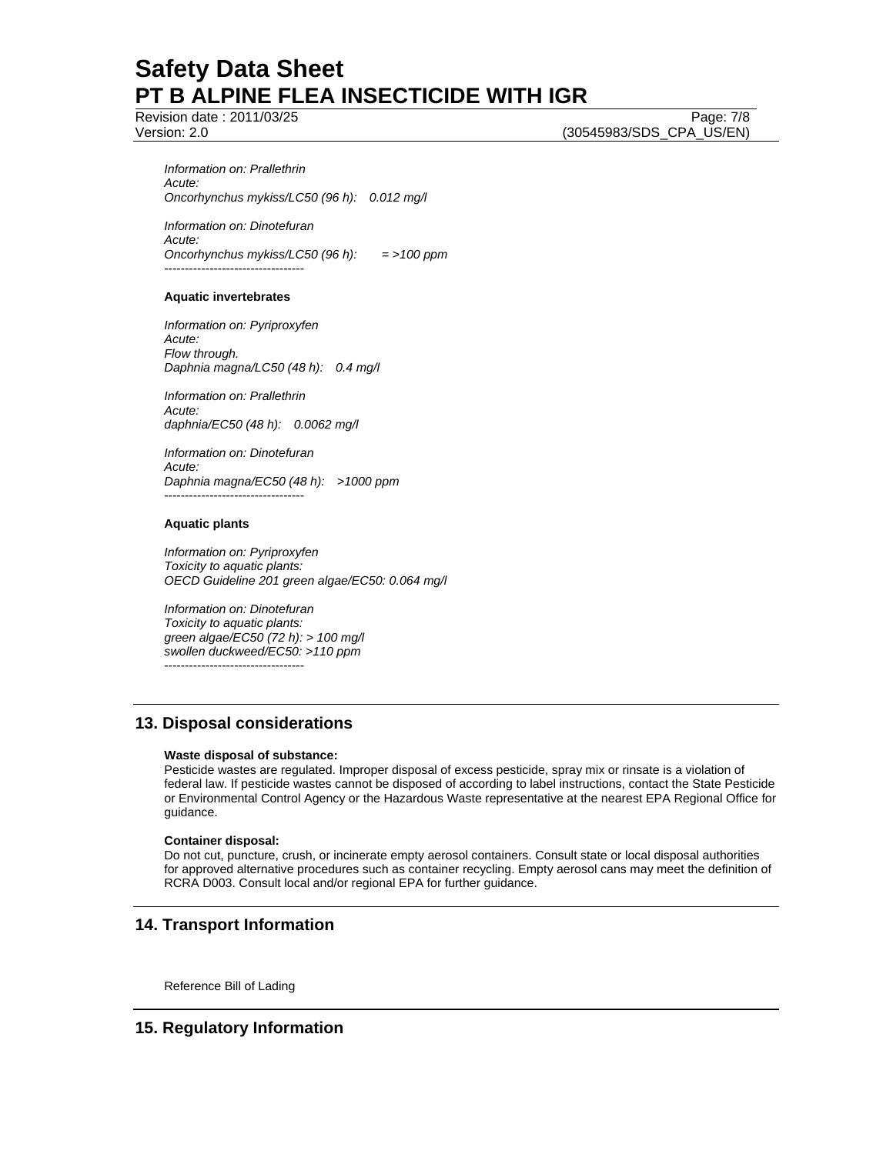Revision date : 2011/03/25 Page: 7/8

Version: 2.0 (30545983/SDS\_CPA\_US/EN)

*Information on: Prallethrin Acute: Oncorhynchus mykiss/LC50 (96 h): 0.012 mg/l* 

*Information on: Dinotefuran Acute: Oncorhynchus mykiss/LC50 (96 h): = >100 ppm*  ----------------------------------

# **Aquatic invertebrates**

*Information on: Pyriproxyfen Acute: Flow through. Daphnia magna/LC50 (48 h): 0.4 mg/l* 

*Information on: Prallethrin Acute: daphnia/EC50 (48 h): 0.0062 mg/l* 

*Information on: Dinotefuran Acute: Daphnia magna/EC50 (48 h): >1000 ppm*  ----------------------------------

## **Aquatic plants**

*Information on: Pyriproxyfen Toxicity to aquatic plants: OECD Guideline 201 green algae/EC50: 0.064 mg/l* 

*Information on: Dinotefuran Toxicity to aquatic plants: green algae/EC50 (72 h): > 100 mg/l swollen duckweed/EC50: >110 ppm*  ----------------------------------

# **13. Disposal considerations**

## **Waste disposal of substance:**

Pesticide wastes are regulated. Improper disposal of excess pesticide, spray mix or rinsate is a violation of federal law. If pesticide wastes cannot be disposed of according to label instructions, contact the State Pesticide or Environmental Control Agency or the Hazardous Waste representative at the nearest EPA Regional Office for guidance.

## **Container disposal:**

Do not cut, puncture, crush, or incinerate empty aerosol containers. Consult state or local disposal authorities for approved alternative procedures such as container recycling. Empty aerosol cans may meet the definition of RCRA D003. Consult local and/or regional EPA for further guidance.

# **14. Transport Information**

Reference Bill of Lading

# **15. Regulatory Information**